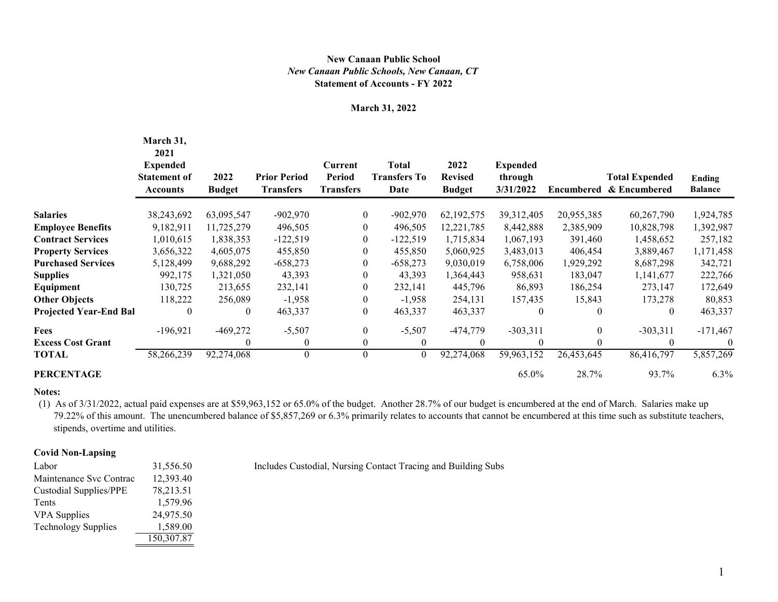## **Statement of Accounts - FY 2022** *New Canaan Public Schools, New Canaan, CT* **New Canaan Public School**

### **March 31, 2022**

|                               | March 31,<br>2021<br><b>Expended</b><br><b>Statement of</b><br><b>Accounts</b> | 2022<br><b>Budget</b> | <b>Prior Period</b><br><b>Transfers</b> | <b>Current</b><br><b>Period</b><br><b>Transfers</b> | <b>Total</b><br><b>Transfers To</b><br>Date | 2022<br><b>Revised</b><br><b>Budget</b> | <b>Expended</b><br>through<br>3/31/2022 |                  | <b>Total Expended</b><br>Encumbered & Encumbered | <b>Ending</b><br><b>Balance</b> |
|-------------------------------|--------------------------------------------------------------------------------|-----------------------|-----------------------------------------|-----------------------------------------------------|---------------------------------------------|-----------------------------------------|-----------------------------------------|------------------|--------------------------------------------------|---------------------------------|
| <b>Salaries</b>               | 38,243,692                                                                     | 63,095,547            | $-902,970$                              | $\boldsymbol{0}$                                    | $-902,970$                                  | 62,192,575                              | 39,312,405                              | 20,955,385       | 60,267,790                                       | 1,924,785                       |
| <b>Employee Benefits</b>      | 9,182,911                                                                      | 11,725,279            | 496,505                                 | $\boldsymbol{0}$                                    | 496,505                                     | 12,221,785                              | 8,442,888                               | 2,385,909        | 10,828,798                                       | 1,392,987                       |
| <b>Contract Services</b>      | 1,010,615                                                                      | 1,838,353             | $-122,519$                              | $\boldsymbol{0}$                                    | $-122,519$                                  | 1,715,834                               | 1,067,193                               | 391,460          | 1,458,652                                        | 257,182                         |
| <b>Property Services</b>      | 3,656,322                                                                      | 4,605,075             | 455,850                                 | $\mathbf{0}$                                        | 455,850                                     | 5,060,925                               | 3,483,013                               | 406,454          | 3,889,467                                        | 1,171,458                       |
| <b>Purchased Services</b>     | 5,128,499                                                                      | 9,688,292             | $-658,273$                              | $\mathbf{0}$                                        | $-658,273$                                  | 9,030,019                               | 6,758,006                               | 1,929,292        | 8,687,298                                        | 342,721                         |
| <b>Supplies</b>               | 992,175                                                                        | 1,321,050             | 43,393                                  | $\overline{0}$                                      | 43,393                                      | 1,364,443                               | 958,631                                 | 183,047          | 1,141,677                                        | 222,766                         |
| Equipment                     | 130,725                                                                        | 213,655               | 232,141                                 | $\boldsymbol{0}$                                    | 232,141                                     | 445,796                                 | 86,893                                  | 186,254          | 273,147                                          | 172,649                         |
| <b>Other Objects</b>          | 118,222                                                                        | 256,089               | $-1,958$                                | $\mathbf{0}$                                        | $-1,958$                                    | 254,131                                 | 157,435                                 | 15,843           | 173,278                                          | 80,853                          |
| <b>Projected Year-End Bal</b> | $\boldsymbol{0}$                                                               | $\boldsymbol{0}$      | 463,337                                 | $\boldsymbol{0}$                                    | 463,337                                     | 463,337                                 | $\theta$                                | $\boldsymbol{0}$ | 0                                                | 463,337                         |
| Fees                          | $-196,921$                                                                     | $-469,272$            | $-5,507$                                | $\mathbf{0}$                                        | $-5,507$                                    | $-474,779$                              | $-303,311$                              | $\boldsymbol{0}$ | $-303,311$                                       | $-171,467$                      |
| <b>Excess Cost Grant</b>      |                                                                                | $\theta$              | 0                                       | $\mathbf{0}$                                        | $\overline{0}$                              | $\theta$                                | $\boldsymbol{0}$                        | $\boldsymbol{0}$ | 0                                                | $\theta$                        |
| TOTAL                         | 58,266,239                                                                     | 92,274,068            | 0                                       | $\boldsymbol{0}$                                    | $\boldsymbol{0}$                            | 92,274,068                              | 59,963,152                              | 26,453,645       | 86,416,797                                       | 5,857,269                       |
| PERCENTAGE                    |                                                                                |                       |                                         |                                                     |                                             |                                         | 65.0%                                   | 28.7%            | 93.7%                                            | $6.3\%$                         |
|                               |                                                                                |                       |                                         |                                                     |                                             |                                         |                                         |                  |                                                  |                                 |

#### **Notes:**

 (1) As of 3/31/2022, actual paid expenses are at \$59,963,152 or 65.0% of the budget. Another 28.7% of our budget is encumbered at the end of March. Salaries make up 79.22% of this amount. The unencumbered balance of \$5,857,269 or 6.3% primarily relates to accounts that cannot be encumbered at this time such as substitute teachers, stipends, overtime and utilities.

### **Covid Non-Lapsing**

| Labor                         | 31,556.50  |
|-------------------------------|------------|
| Maintenance Svc Contrac       | 12,393.40  |
| <b>Custodial Supplies/PPE</b> | 78,213.51  |
| Tents                         | 1,579.96   |
| <b>VPA</b> Supplies           | 24,975.50  |
| <b>Technology Supplies</b>    | 1,589.00   |
|                               | 150,307.87 |

Includes Custodial, Nursing Contact Tracing and Building Subs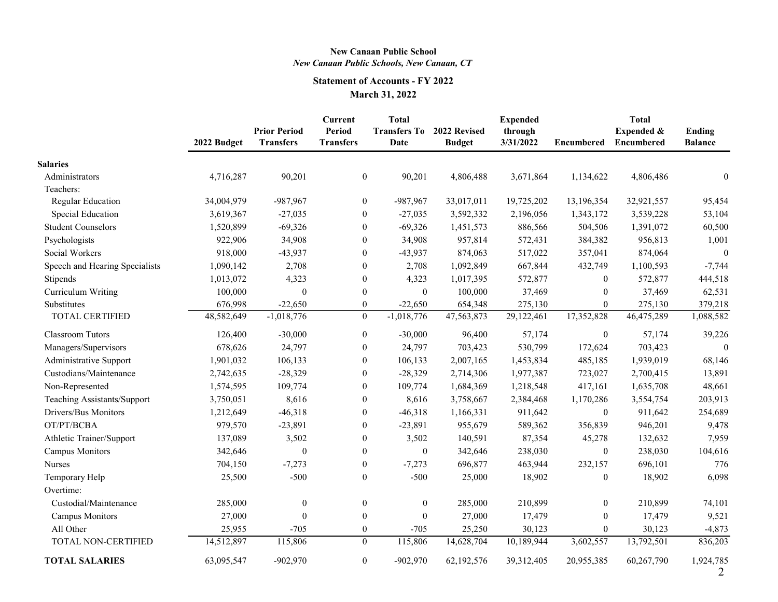## **New Canaan Public School** *New Canaan Public Schools, New Canaan, CT*

# **Statement of Accounts - FY 2022 March 31, 2022**

|                                | 2022 Budget | <b>Prior Period</b><br><b>Transfers</b> | <b>Current</b><br><b>Period</b><br><b>Transfers</b> | <b>Total</b><br><b>Transfers To</b><br>Date | 2022 Revised<br><b>Budget</b> | <b>Expended</b><br>through<br>3/31/2022 | <b>Encumbered</b> | <b>Total</b><br>Expended &<br><b>Encumbered</b> | Ending<br><b>Balance</b> |
|--------------------------------|-------------|-----------------------------------------|-----------------------------------------------------|---------------------------------------------|-------------------------------|-----------------------------------------|-------------------|-------------------------------------------------|--------------------------|
| <b>Salaries</b>                |             |                                         |                                                     |                                             |                               |                                         |                   |                                                 |                          |
| Administrators                 | 4,716,287   | 90,201                                  | $\boldsymbol{0}$                                    | 90,201                                      | 4,806,488                     | 3,671,864                               | 1,134,622         | 4,806,486                                       | $\boldsymbol{0}$         |
| Teachers:                      |             |                                         |                                                     |                                             |                               |                                         |                   |                                                 |                          |
| <b>Regular Education</b>       | 34,004,979  | $-987,967$                              | $\boldsymbol{0}$                                    | $-987,967$                                  | 33,017,011                    | 19,725,202                              | 13,196,354        | 32,921,557                                      | 95,454                   |
| Special Education              | 3,619,367   | $-27,035$                               | $\boldsymbol{0}$                                    | $-27,035$                                   | 3,592,332                     | 2,196,056                               | 1,343,172         | 3,539,228                                       | 53,104                   |
| <b>Student Counselors</b>      | 1,520,899   | $-69,326$                               | $\boldsymbol{0}$                                    | $-69,326$                                   | 1,451,573                     | 886,566                                 | 504,506           | 1,391,072                                       | 60,500                   |
| Psychologists                  | 922,906     | 34,908                                  | $\boldsymbol{0}$                                    | 34,908                                      | 957,814                       | 572,431                                 | 384,382           | 956,813                                         | 1,001                    |
| Social Workers                 | 918,000     | $-43,937$                               | $\boldsymbol{0}$                                    | $-43,937$                                   | 874,063                       | 517,022                                 | 357,041           | 874,064                                         | $\boldsymbol{0}$         |
| Speech and Hearing Specialists | 1,090,142   | 2,708                                   | $\boldsymbol{0}$                                    | 2,708                                       | 1,092,849                     | 667,844                                 | 432,749           | 1,100,593                                       | $-7,744$                 |
| Stipends                       | 1,013,072   | 4,323                                   | $\boldsymbol{0}$                                    | 4,323                                       | 1,017,395                     | 572,877                                 | $\overline{0}$    | 572,877                                         | 444,518                  |
| Curriculum Writing             | 100,000     | $\boldsymbol{0}$                        | $\boldsymbol{0}$                                    | $\overline{0}$                              | 100,000                       | 37,469                                  | $\mathbf{0}$      | 37,469                                          | 62,531                   |
| Substitutes                    | 676,998     | $-22,650$                               | $\boldsymbol{0}$                                    | $-22,650$                                   | 654,348                       | 275,130                                 | $\boldsymbol{0}$  | 275,130                                         | 379,218                  |
| <b>TOTAL CERTIFIED</b>         | 48,582,649  | $-1,018,776$                            | $\boldsymbol{0}$                                    | $-1,018,776$                                | 47,563,873                    | 29,122,461                              | 17,352,828        | 46,475,289                                      | 1,088,582                |
| <b>Classroom Tutors</b>        | 126,400     | $-30,000$                               | $\boldsymbol{0}$                                    | $-30,000$                                   | 96,400                        | 57,174                                  | $\boldsymbol{0}$  | 57,174                                          | 39,226                   |
| Managers/Supervisors           | 678,626     | 24,797                                  | $\boldsymbol{0}$                                    | 24,797                                      | 703,423                       | 530,799                                 | 172,624           | 703,423                                         | $\theta$                 |
| <b>Administrative Support</b>  | 1,901,032   | 106,133                                 | $\boldsymbol{0}$                                    | 106,133                                     | 2,007,165                     | 1,453,834                               | 485,185           | 1,939,019                                       | 68,146                   |
| Custodians/Maintenance         | 2,742,635   | $-28,329$                               | $\boldsymbol{0}$                                    | $-28,329$                                   | 2,714,306                     | 1,977,387                               | 723,027           | 2,700,415                                       | 13,891                   |
| Non-Represented                | 1,574,595   | 109,774                                 | $\boldsymbol{0}$                                    | 109,774                                     | 1,684,369                     | 1,218,548                               | 417,161           | 1,635,708                                       | 48,661                   |
| Teaching Assistants/Support    | 3,750,051   | 8,616                                   | $\boldsymbol{0}$                                    | 8,616                                       | 3,758,667                     | 2,384,468                               | 1,170,286         | 3,554,754                                       | 203,913                  |
| Drivers/Bus Monitors           | 1,212,649   | $-46,318$                               | $\boldsymbol{0}$                                    | $-46,318$                                   | 1,166,331                     | 911,642                                 | $\boldsymbol{0}$  | 911,642                                         | 254,689                  |
| OT/PT/BCBA                     | 979,570     | $-23,891$                               | $\boldsymbol{0}$                                    | $-23,891$                                   | 955,679                       | 589,362                                 | 356,839           | 946,201                                         | 9,478                    |
| Athletic Trainer/Support       | 137,089     | 3,502                                   | $\boldsymbol{0}$                                    | 3,502                                       | 140,591                       | 87,354                                  | 45,278            | 132,632                                         | 7,959                    |
| <b>Campus Monitors</b>         | 342,646     | $\boldsymbol{0}$                        | $\boldsymbol{0}$                                    | $\boldsymbol{0}$                            | 342,646                       | 238,030                                 | $\boldsymbol{0}$  | 238,030                                         | 104,616                  |
| <b>Nurses</b>                  | 704,150     | $-7,273$                                | $\boldsymbol{0}$                                    | $-7,273$                                    | 696,877                       | 463,944                                 | 232,157           | 696,101                                         | 776                      |
| Temporary Help                 | 25,500      | $-500$                                  | $\mathbf{0}$                                        | $-500$                                      | 25,000                        | 18,902                                  | $\boldsymbol{0}$  | 18,902                                          | 6,098                    |
| Overtime:                      |             |                                         |                                                     |                                             |                               |                                         |                   |                                                 |                          |
| Custodial/Maintenance          | 285,000     | $\boldsymbol{0}$                        | $\boldsymbol{0}$                                    | $\overline{0}$                              | 285,000                       | 210,899                                 | $\boldsymbol{0}$  | 210,899                                         | 74,101                   |
| <b>Campus Monitors</b>         | 27,000      | $\boldsymbol{0}$                        | $\boldsymbol{0}$                                    | $\overline{0}$                              | 27,000                        | 17,479                                  | $\boldsymbol{0}$  | 17,479                                          | 9,521                    |
| All Other                      | 25,955      | $-705$                                  | $\boldsymbol{0}$                                    | $-705$                                      | 25,250                        | 30,123                                  | $\boldsymbol{0}$  | 30,123                                          | $-4,873$                 |
| TOTAL NON-CERTIFIED            | 14,512,897  | 115,806                                 | $\mathbf{0}$                                        | 115,806                                     | 14,628,704                    | 10,189,944                              | 3,602,557         | 13,792,501                                      | 836,203                  |
| <b>TOTAL SALARIES</b>          | 63,095,547  | $-902,970$                              | $\mathbf{0}$                                        | $-902,970$                                  | 62,192,576                    | 39,312,405                              | 20,955,385        | 60,267,790                                      | 1,924,785                |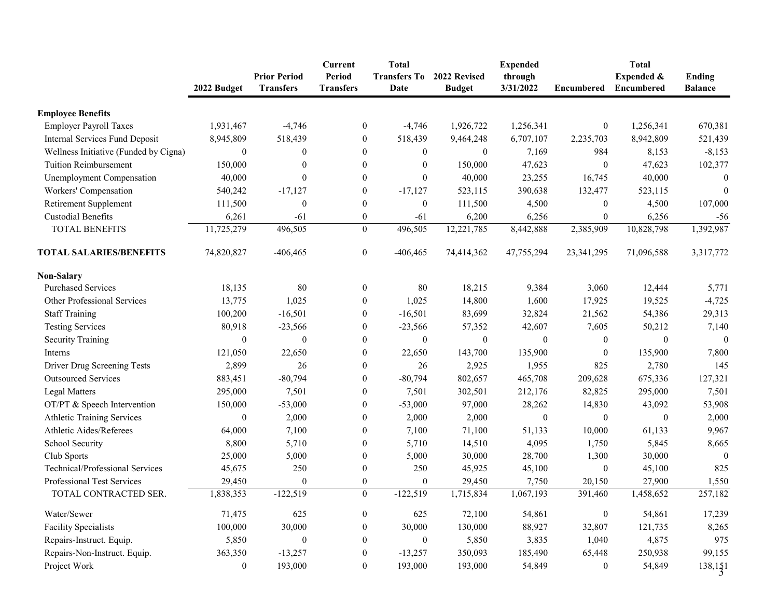|                                       | 2022 Budget      | <b>Prior Period</b><br><b>Transfers</b> | <b>Current</b><br><b>Period</b><br><b>Transfers</b> | <b>Total</b><br><b>Transfers To</b><br>Date | 2022 Revised<br><b>Budget</b> | <b>Expended</b><br>through<br>3/31/2022 | <b>Encumbered</b> | <b>Total</b><br>Expended &<br><b>Encumbered</b> | Ending<br><b>Balance</b> |
|---------------------------------------|------------------|-----------------------------------------|-----------------------------------------------------|---------------------------------------------|-------------------------------|-----------------------------------------|-------------------|-------------------------------------------------|--------------------------|
|                                       |                  |                                         |                                                     |                                             |                               |                                         |                   |                                                 |                          |
| <b>Employee Benefits</b>              |                  |                                         |                                                     |                                             |                               |                                         |                   |                                                 |                          |
| <b>Employer Payroll Taxes</b>         | 1,931,467        | $-4,746$                                | $\boldsymbol{0}$                                    | $-4,746$                                    | 1,926,722                     | 1,256,341                               | $\boldsymbol{0}$  | 1,256,341                                       | 670,381                  |
| <b>Internal Services Fund Deposit</b> | 8,945,809        | 518,439                                 | $\boldsymbol{0}$                                    | 518,439                                     | 9,464,248                     | 6,707,107                               | 2,235,703         | 8,942,809                                       | 521,439                  |
| Wellness Initiative (Funded by Cigna) | $\boldsymbol{0}$ | $\mathbf{0}$                            | $\theta$                                            | $\theta$                                    | $\boldsymbol{0}$              | 7,169                                   | 984               | 8,153                                           | $-8,153$                 |
| <b>Tuition Reimbursement</b>          | 150,000          | $\theta$                                | $\theta$                                            | $\theta$                                    | 150,000                       | 47,623                                  | $\theta$          | 47,623                                          | 102,377                  |
| <b>Unemployment Compensation</b>      | 40,000           | $\theta$                                | $\boldsymbol{0}$                                    | $\Omega$                                    | 40,000                        | 23,255                                  | 16,745            | 40,000                                          | $\boldsymbol{0}$         |
| Workers' Compensation                 | 540,242          | $-17,127$                               | $\mathbf{0}$                                        | $-17,127$                                   | 523,115                       | 390,638                                 | 132,477           | 523,115                                         | $\overline{0}$           |
| <b>Retirement Supplement</b>          | 111,500          | $\theta$                                | $\boldsymbol{0}$                                    | $\Omega$                                    | 111,500                       | 4,500                                   | $\boldsymbol{0}$  | 4,500                                           | 107,000                  |
| <b>Custodial Benefits</b>             | 6,261            | $-61$                                   | $\boldsymbol{0}$                                    | $-61$                                       | 6,200                         | 6,256                                   | $\overline{0}$    | 6,256                                           | $-56$                    |
| <b>TOTAL BENEFITS</b>                 | 11,725,279       | 496,505                                 | $\boldsymbol{0}$                                    | 496,505                                     | 12,221,785                    | 8,442,888                               | 2,385,909         | 10,828,798                                      | 1,392,987                |
| <b>TOTAL SALARIES/BENEFITS</b>        | 74,820,827       | $-406, 465$                             | $\boldsymbol{0}$                                    | $-406, 465$                                 | 74,414,362                    | 47,755,294                              | 23, 341, 295      | 71,096,588                                      | 3,317,772                |
| <b>Non-Salary</b>                     |                  |                                         |                                                     |                                             |                               |                                         |                   |                                                 |                          |
| <b>Purchased Services</b>             | 18,135           | 80                                      | $\boldsymbol{0}$                                    | 80                                          | 18,215                        | 9,384                                   | 3,060             | 12,444                                          | 5,771                    |
| Other Professional Services           | 13,775           | 1,025                                   | $\overline{0}$                                      | 1,025                                       | 14,800                        | 1,600                                   | 17,925            | 19,525                                          | $-4,725$                 |
| <b>Staff Training</b>                 | 100,200          | $-16,501$                               | $\boldsymbol{0}$                                    | $-16,501$                                   | 83,699                        | 32,824                                  | 21,562            | 54,386                                          | 29,313                   |
| <b>Testing Services</b>               | 80,918           | $-23,566$                               | $\theta$                                            | $-23,566$                                   | 57,352                        | 42,607                                  | 7,605             | 50,212                                          | 7,140                    |
| <b>Security Training</b>              | $\overline{0}$   | $\theta$                                | $\boldsymbol{0}$                                    | $\theta$                                    | $\boldsymbol{0}$              | $\theta$                                | $\overline{0}$    | $\boldsymbol{0}$                                | $\boldsymbol{0}$         |
| Interns                               | 121,050          | 22,650                                  | $\boldsymbol{0}$                                    | 22,650                                      | 143,700                       | 135,900                                 | $\boldsymbol{0}$  | 135,900                                         | 7,800                    |
| Driver Drug Screening Tests           | 2,899            | 26                                      | $\boldsymbol{0}$                                    | 26                                          | 2,925                         | 1,955                                   | 825               | 2,780                                           | 145                      |
| <b>Outsourced Services</b>            | 883,451          | $-80,794$                               | $\boldsymbol{0}$                                    | $-80,794$                                   | 802,657                       | 465,708                                 | 209,628           | 675,336                                         | 127,321                  |
| <b>Legal Matters</b>                  | 295,000          | 7,501                                   | $\overline{0}$                                      | 7,501                                       | 302,501                       | 212,176                                 | 82,825            | 295,000                                         | 7,501                    |
| OT/PT & Speech Intervention           | 150,000          | $-53,000$                               | $\boldsymbol{0}$                                    | $-53,000$                                   | 97,000                        | 28,262                                  | 14,830            | 43,092                                          | 53,908                   |
| <b>Athletic Training Services</b>     | $\boldsymbol{0}$ | 2,000                                   | $\theta$                                            | 2,000                                       | 2,000                         | $\boldsymbol{0}$                        | $\boldsymbol{0}$  | $\boldsymbol{0}$                                | 2,000                    |
| <b>Athletic Aides/Referees</b>        | 64,000           | 7,100                                   | $\theta$                                            | 7,100                                       | 71,100                        | 51,133                                  | 10,000            | 61,133                                          | 9,967                    |
| School Security                       | 8,800            | 5,710                                   | $\boldsymbol{0}$                                    | 5,710                                       | 14,510                        | 4,095                                   | 1,750             | 5,845                                           | 8,665                    |
| Club Sports                           | 25,000           | 5,000                                   | $\theta$                                            | 5,000                                       | 30,000                        | 28,700                                  | 1,300             | 30,000                                          | $\Omega$                 |
| Technical/Professional Services       | 45,675           | 250                                     | $\theta$                                            | 250                                         | 45,925                        | 45,100                                  | $\boldsymbol{0}$  | 45,100                                          | 825                      |
| <b>Professional Test Services</b>     | 29,450           | $\boldsymbol{0}$                        | $\boldsymbol{0}$                                    | $\overline{0}$                              | 29,450                        | 7,750                                   | 20,150            | 27,900                                          | 1,550                    |
| TOTAL CONTRACTED SER.                 | 1,838,353        | $-122,519$                              | $\boldsymbol{0}$                                    | $-122,519$                                  | 1,715,834                     | 1,067,193                               | 391,460           | 1,458,652                                       | 257,182                  |
| Water/Sewer                           | 71,475           | 625                                     | $\boldsymbol{0}$                                    | 625                                         | 72,100                        | 54,861                                  | $\boldsymbol{0}$  | 54,861                                          | 17,239                   |
| <b>Facility Specialists</b>           | 100,000          | 30,000                                  | $\theta$                                            | 30,000                                      | 130,000                       | 88,927                                  | 32,807            | 121,735                                         | 8,265                    |
| Repairs-Instruct. Equip.              | 5,850            | 0                                       | $\theta$                                            |                                             | 5,850                         | 3,835                                   | 1,040             | 4,875                                           | 975                      |
| Repairs-Non-Instruct. Equip.          | 363,350          | $-13,257$                               | $\boldsymbol{0}$                                    | $-13,257$                                   | 350,093                       | 185,490                                 | 65,448            | 250,938                                         | 99,155                   |
| Project Work                          | $\boldsymbol{0}$ | 193,000                                 | $\boldsymbol{0}$                                    | 193,000                                     | 193,000                       | 54,849                                  | $\boldsymbol{0}$  | 54,849                                          | 138,151                  |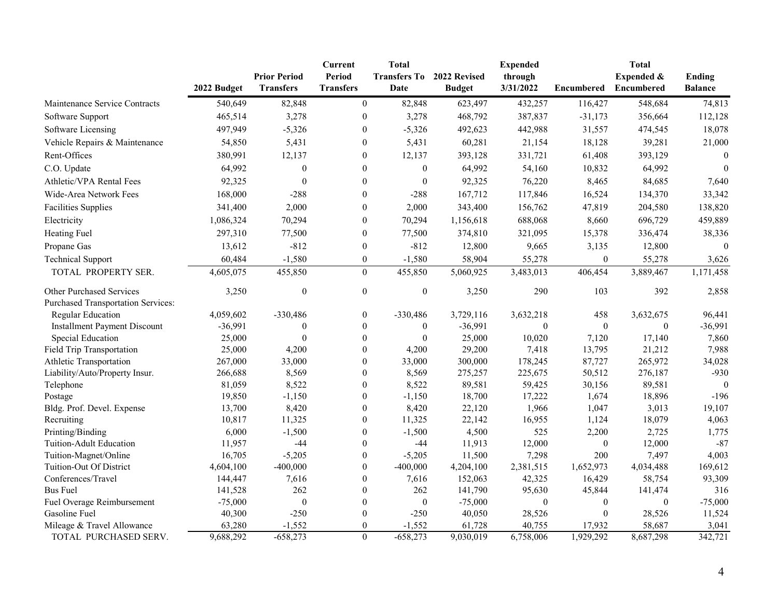|                                           |             | <b>Prior Period</b> | <b>Current</b><br><b>Period</b> | <b>Total</b><br><b>Transfers To</b> | 2022 Revised  | <b>Expended</b><br>through |                   | <b>Total</b><br><b>Expended &amp;</b> | <b>Ending</b>    |
|-------------------------------------------|-------------|---------------------|---------------------------------|-------------------------------------|---------------|----------------------------|-------------------|---------------------------------------|------------------|
|                                           | 2022 Budget | <b>Transfers</b>    | <b>Transfers</b>                | Date                                | <b>Budget</b> | 3/31/2022                  | <b>Encumbered</b> | Encumbered                            | <b>Balance</b>   |
| Maintenance Service Contracts             | 540,649     | 82,848              | $\mathbf{0}$                    | 82,848                              | 623,497       | 432,257                    | 116,427           | 548,684                               | 74,813           |
| Software Support                          | 465,514     | 3,278               | $\theta$                        | 3,278                               | 468,792       | 387,837                    | $-31,173$         | 356,664                               | 112,128          |
| Software Licensing                        | 497,949     | $-5,326$            | 0                               | $-5,326$                            | 492,623       | 442,988                    | 31,557            | 474,545                               | 18,078           |
| Vehicle Repairs & Maintenance             | 54,850      | 5,431               | 0                               | 5,431                               | 60,281        | 21,154                     | 18,128            | 39,281                                | 21,000           |
| Rent-Offices                              | 380,991     | 12,137              | 0                               | 12,137                              | 393,128       | 331,721                    | 61,408            | 393,129                               | $\Omega$         |
| C.O. Update                               | 64,992      | $\boldsymbol{0}$    | $\theta$                        | $\theta$                            | 64,992        | 54,160                     | 10,832            | 64,992                                | $\boldsymbol{0}$ |
| Athletic/VPA Rental Fees                  | 92,325      | $\boldsymbol{0}$    | $\theta$                        | $\boldsymbol{0}$                    | 92,325        | 76,220                     | 8,465             | 84,685                                | 7,640            |
| Wide-Area Network Fees                    | 168,000     | $-288$              | 0                               | $-288$                              | 167,712       | 117,846                    | 16,524            | 134,370                               | 33,342           |
| <b>Facilities Supplies</b>                | 341,400     | 2,000               | 0                               | 2,000                               | 343,400       | 156,762                    | 47,819            | 204,580                               | 138,820          |
| Electricity                               | 1,086,324   | 70,294              | $\boldsymbol{0}$                | 70,294                              | 1,156,618     | 688,068                    | 8,660             | 696,729                               | 459,889          |
| Heating Fuel                              | 297,310     | 77,500              | 0                               | 77,500                              | 374,810       | 321,095                    | 15,378            | 336,474                               | 38,336           |
| Propane Gas                               | 13,612      | $-812$              | $\theta$                        | $-812$                              | 12,800        | 9,665                      | 3,135             | 12,800                                | $\Omega$         |
|                                           |             |                     |                                 |                                     |               |                            |                   |                                       |                  |
| <b>Technical Support</b>                  | 60,484      | $-1,580$            | $\overline{0}$                  | $-1,580$                            | 58,904        | 55,278                     | $\boldsymbol{0}$  | 55,278                                | 3,626            |
| TOTAL PROPERTY SER.                       | 4,605,075   | 455,850             | $\mathbf{0}$                    | 455,850                             | 5,060,925     | 3,483,013                  | 406,454           | 3,889,467                             | 1,171,458        |
| <b>Other Purchased Services</b>           | 3,250       | $\boldsymbol{0}$    | $\mathbf{0}$                    | $\boldsymbol{0}$                    | 3,250         | 290                        | 103               | 392                                   | 2,858            |
| <b>Purchased Transportation Services:</b> |             |                     |                                 |                                     |               |                            |                   |                                       |                  |
| <b>Regular Education</b>                  | 4,059,602   | $-330,486$          | $\boldsymbol{0}$                | $-330,486$                          | 3,729,116     | 3,632,218                  | 458               | 3,632,675                             | 96,441           |
| <b>Installment Payment Discount</b>       | $-36,991$   | $\Omega$            | $\theta$                        | $\theta$                            | $-36,991$     | 0                          | $\theta$          | $\Omega$                              | $-36,991$        |
| Special Education                         | 25,000      |                     | 0                               | $\theta$                            | 25,000        | 10,020                     | 7,120             | 17,140                                | 7,860            |
| <b>Field Trip Transportation</b>          | 25,000      | 4,200               | 0                               | 4,200                               | 29,200        | 7,418                      | 13,795            | 21,212                                | 7,988            |
| Athletic Transportation                   | 267,000     | 33,000              | 0                               | 33,000                              | 300,000       | 178,245                    | 87,727            | 265,972                               | 34,028           |
| Liability/Auto/Property Insur.            | 266,688     | 8,569               | 0                               | 8,569                               | 275,257       | 225,675                    | 50,512            | 276,187                               | $-930$           |
| Telephone                                 | 81,059      | 8,522               | 0                               | 8,522                               | 89,581        | 59,425                     | 30,156            | 89,581                                | $\Omega$         |
| Postage                                   | 19,850      | $-1,150$            | $\theta$                        | $-1,150$                            | 18,700        | 17,222                     | 1,674             | 18,896                                | $-196$           |
| Bldg. Prof. Devel. Expense                | 13,700      | 8,420               | 0                               | 8,420                               | 22,120        | 1,966                      | 1,047             | 3,013                                 | 19,107           |
| Recruiting                                | 10,817      | 11,325              |                                 | 11,325                              | 22,142        | 16,955                     | 1,124             | 18,079                                | 4,063            |
| Printing/Binding                          | 6,000       | $-1,500$            |                                 | $-1,500$                            | 4,500         | 525                        | 2,200             | 2,725                                 | 1,775            |
| Tuition-Adult Education                   | 11,957      | $-44$               | $\boldsymbol{0}$                | -44                                 | 11,913        | 12,000                     | $\boldsymbol{0}$  | 12,000                                | $-87$            |
| Tuition-Magnet/Online                     | 16,705      | $-5,205$            | 0                               | $-5,205$                            | 11,500        | 7,298                      | 200               | 7,497                                 | 4,003            |
| Tuition-Out Of District                   | 4,604,100   | $-400,000$          |                                 | $-400,000$                          | 4,204,100     | 2,381,515                  | 1,652,973         | 4,034,488                             | 169,612          |
| Conferences/Travel                        | 144,447     | 7,616               |                                 | 7,616                               | 152,063       | 42,325                     | 16,429            | 58,754                                | 93,309           |
| <b>Bus Fuel</b>                           | 141,528     | 262                 |                                 | 262                                 | 141,790       | 95,630                     | 45,844            | 141,474                               | 316              |
| Fuel Overage Reimbursement                | $-75,000$   | $\boldsymbol{0}$    |                                 | $\overline{0}$                      | $-75,000$     | $\theta$                   | $\theta$          |                                       | $-75,000$        |
| Gasoline Fuel                             | 40,300      | $-250$              |                                 | $-250$                              | 40,050        | 28,526                     | $\theta$          | 28,526                                | 11,524           |
| Mileage & Travel Allowance                | 63,280      | $-1,552$            | $\overline{0}$                  | $-1,552$                            | 61,728        | 40,755                     | 17,932            | 58,687                                | 3,041            |
| TOTAL PURCHASED SERV.                     | 9,688,292   | $-658,273$          | $\mathbf{0}$                    | $-658,273$                          | 9,030,019     | 6,758,006                  | 1,929,292         | 8,687,298                             | 342,721          |